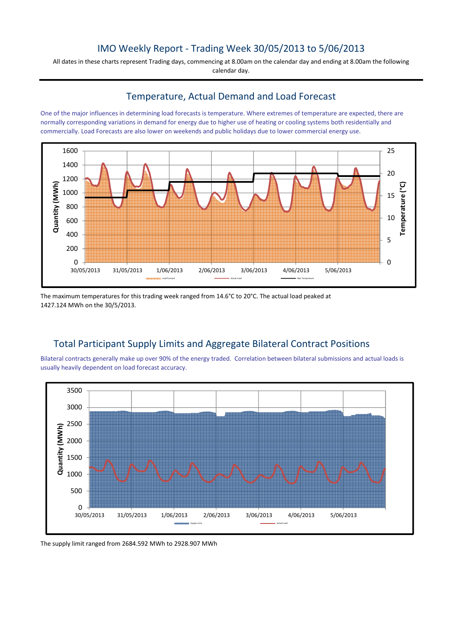## IMO Weekly Report - Trading Week 30/05/2013 to 5/06/2013

All dates in these charts represent Trading days, commencing at 8.00am on the calendar day and ending at 8.00am the following calendar day.

#### Temperature, Actual Demand and Load Forecast

One of the major influences in determining load forecasts is temperature. Where extremes of temperature are expected, there are normally corresponding variations in demand for energy due to higher use of heating or cooling systems both residentially and commercially. Load Forecasts are also lower on weekends and public holidays due to lower commercial energy use.



The maximum temperatures for this trading week ranged from 14.6°C to 20°C. The actual load peaked at 1427.124 MWh on the 30/5/2013.

# Total Participant Supply Limits and Aggregate Bilateral Contract Positions

Bilateral contracts generally make up over 90% of the energy traded. Correlation between bilateral submissions and actual loads is usually heavily dependent on load forecast accuracy.



The supply limit ranged from 2684.592 MWh to 2928.907 MWh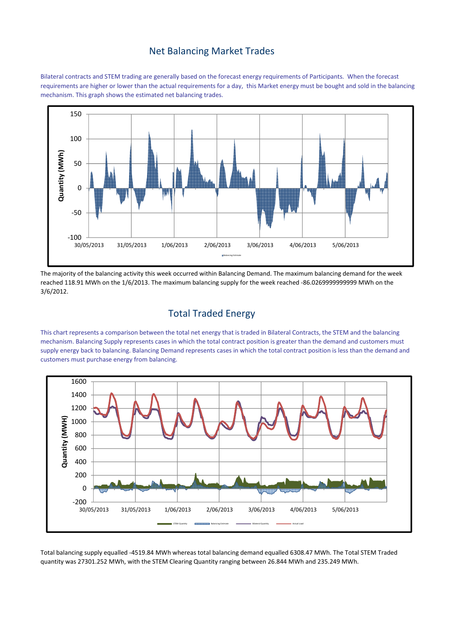#### Net Balancing Market Trades

Bilateral contracts and STEM trading are generally based on the forecast energy requirements of Participants. When the forecast requirements are higher or lower than the actual requirements for a day, this Market energy must be bought and sold in the balancing mechanism. This graph shows the estimated net balancing trades.



The majority of the balancing activity this week occurred within Balancing Demand. The maximum balancing demand for the week reached 118.91 MWh on the 1/6/2013. The maximum balancing supply for the week reached -86.0269999999999 MWh on the 3/6/2012.

# Total Traded Energy

This chart represents a comparison between the total net energy that is traded in Bilateral Contracts, the STEM and the balancing mechanism. Balancing Supply represents cases in which the total contract position is greater than the demand and customers must supply energy back to balancing. Balancing Demand represents cases in which the total contract position is less than the demand and customers must purchase energy from balancing.



Total balancing supply equalled -4519.84 MWh whereas total balancing demand equalled 6308.47 MWh. The Total STEM Traded quantity was 27301.252 MWh, with the STEM Clearing Quantity ranging between 26.844 MWh and 235.249 MWh.